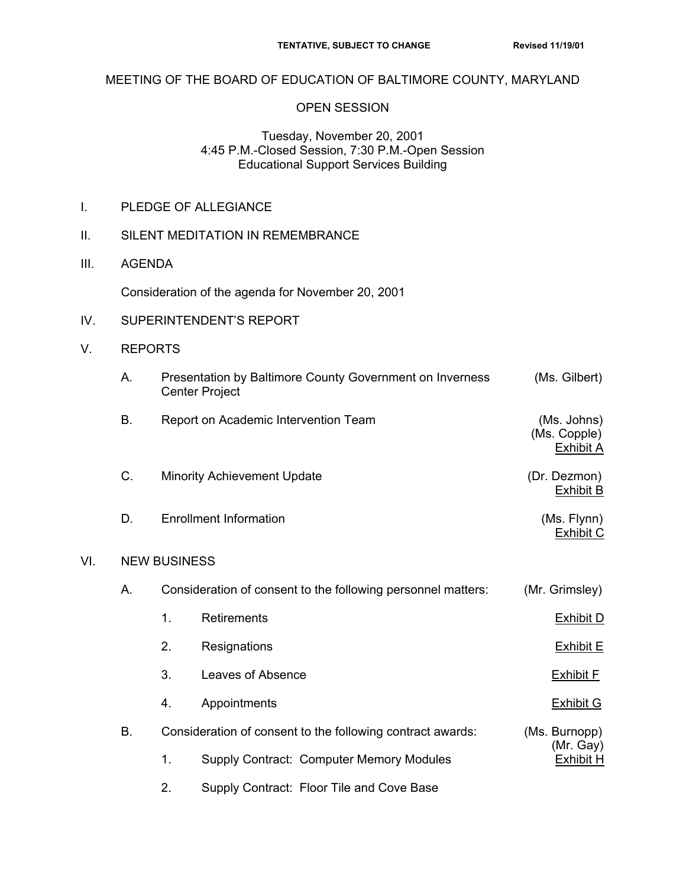## MEETING OF THE BOARD OF EDUCATION OF BALTIMORE COUNTY, MARYLAND

## OPEN SESSION

## Tuesday, November 20, 2001 4:45 P.M.-Closed Session, 7:30 P.M.-Open Session Educational Support Services Building

- I. PLEDGE OF ALLEGIANCE
- II. SILENT MEDITATION IN REMEMBRANCE
- III. AGENDA

Consideration of the agenda for November 20, 2001

- IV. SUPERINTENDENT'S REPORT
- V. REPORTS

 $VI.$ 

|     | А. |                                                              | Presentation by Baltimore County Government on Inverness   | (Ms. Gilbert)                                   |  |  |
|-----|----|--------------------------------------------------------------|------------------------------------------------------------|-------------------------------------------------|--|--|
|     |    | <b>Center Project</b>                                        |                                                            |                                                 |  |  |
|     | B. |                                                              | Report on Academic Intervention Team                       | (Ms. Johns)<br>(Ms. Copple)<br><b>Exhibit A</b> |  |  |
|     | C. |                                                              | <b>Minority Achievement Update</b>                         | (Dr. Dezmon)<br><b>Exhibit B</b>                |  |  |
|     | D. | <b>Enrollment Information</b>                                | (Ms. Flynn)<br><b>Exhibit C</b>                            |                                                 |  |  |
| VI. |    | <b>NEW BUSINESS</b>                                          |                                                            |                                                 |  |  |
|     | А. | Consideration of consent to the following personnel matters: |                                                            | (Mr. Grimsley)                                  |  |  |
|     |    | 1.                                                           | Retirements                                                | <b>Exhibit D</b>                                |  |  |
|     |    | 2.                                                           | Resignations                                               | <b>Exhibit E</b>                                |  |  |
|     |    | 3.                                                           | Leaves of Absence                                          | <b>Exhibit F</b>                                |  |  |
|     |    | 4.                                                           | Appointments                                               | <b>Exhibit G</b>                                |  |  |
|     | B. |                                                              | Consideration of consent to the following contract awards: | (Ms. Burnopp)                                   |  |  |
|     |    | 1.                                                           | Supply Contract: Computer Memory Modules                   | (Mr. Gay)<br><b>Exhibit H</b>                   |  |  |
|     |    | 2.                                                           | Supply Contract: Floor Tile and Cove Base                  |                                                 |  |  |